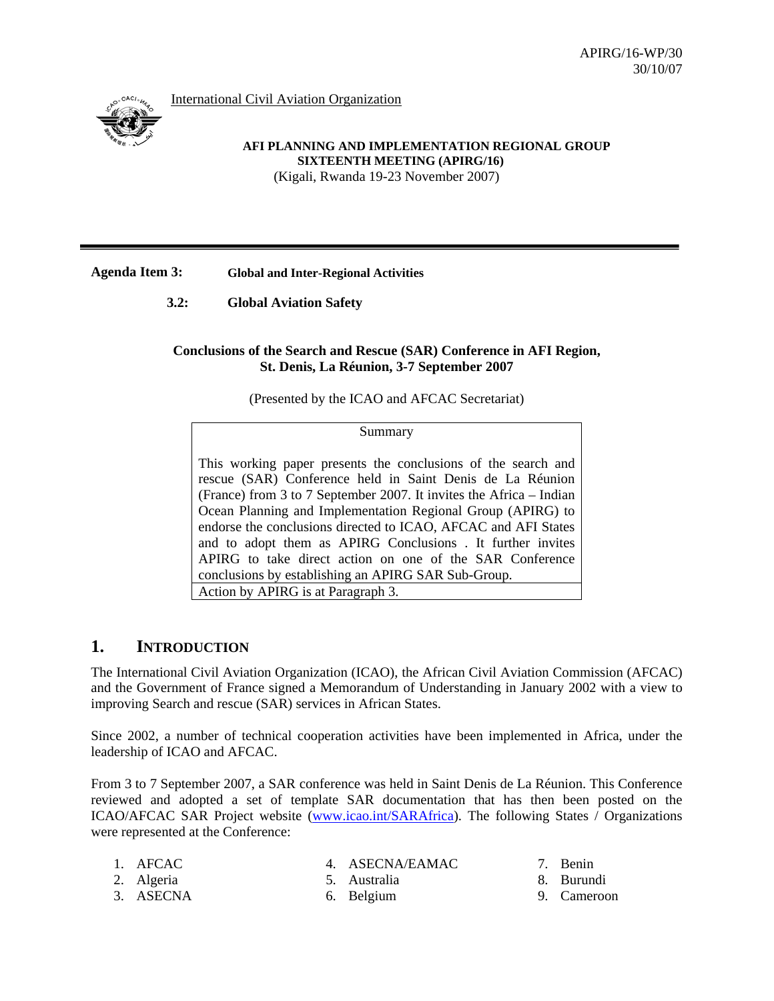International Civil Aviation Organization



#### **AFI PLANNING AND IMPLEMENTATION REGIONAL GROUP SIXTEENTH MEETING (APIRG/16)**  (Kigali, Rwanda 19-23 November 2007)

## **Agenda Item 3: Global and Inter-Regional Activities**

**3.2: Global Aviation Safety** 

#### **Conclusions of the Search and Rescue (SAR) Conference in AFI Region, St. Denis, La Réunion, 3-7 September 2007**

(Presented by the ICAO and AFCAC Secretariat)

Summary

This working paper presents the conclusions of the search and rescue (SAR) Conference held in Saint Denis de La Réunion (France) from 3 to 7 September 2007. It invites the Africa – Indian Ocean Planning and Implementation Regional Group (APIRG) to endorse the conclusions directed to ICAO, AFCAC and AFI States and to adopt them as APIRG Conclusions . It further invites APIRG to take direct action on one of the SAR Conference conclusions by establishing an APIRG SAR Sub-Group. Action by APIRG is at Paragraph 3.

# **1. INTRODUCTION**

The International Civil Aviation Organization (ICAO), the African Civil Aviation Commission (AFCAC) and the Government of France signed a Memorandum of Understanding in January 2002 with a view to improving Search and rescue (SAR) services in African States.

Since 2002, a number of technical cooperation activities have been implemented in Africa, under the leadership of ICAO and AFCAC.

From 3 to 7 September 2007, a SAR conference was held in Saint Denis de La Réunion. This Conference reviewed and adopted a set of template SAR documentation that has then been posted on the ICAO/AFCAC SAR Project website (www.icao.int/SARAfrica). The following States / Organizations were represented at the Conference:

| 1. AFCAC<br>2. Algeria<br>3. ASECNA |  |  | 4. ASECNA/EAMAC<br>5. Australia<br>6. Belgium |  | 7. Benin<br>8. Burundi<br>9. Cameroon |
|-------------------------------------|--|--|-----------------------------------------------|--|---------------------------------------|
|-------------------------------------|--|--|-----------------------------------------------|--|---------------------------------------|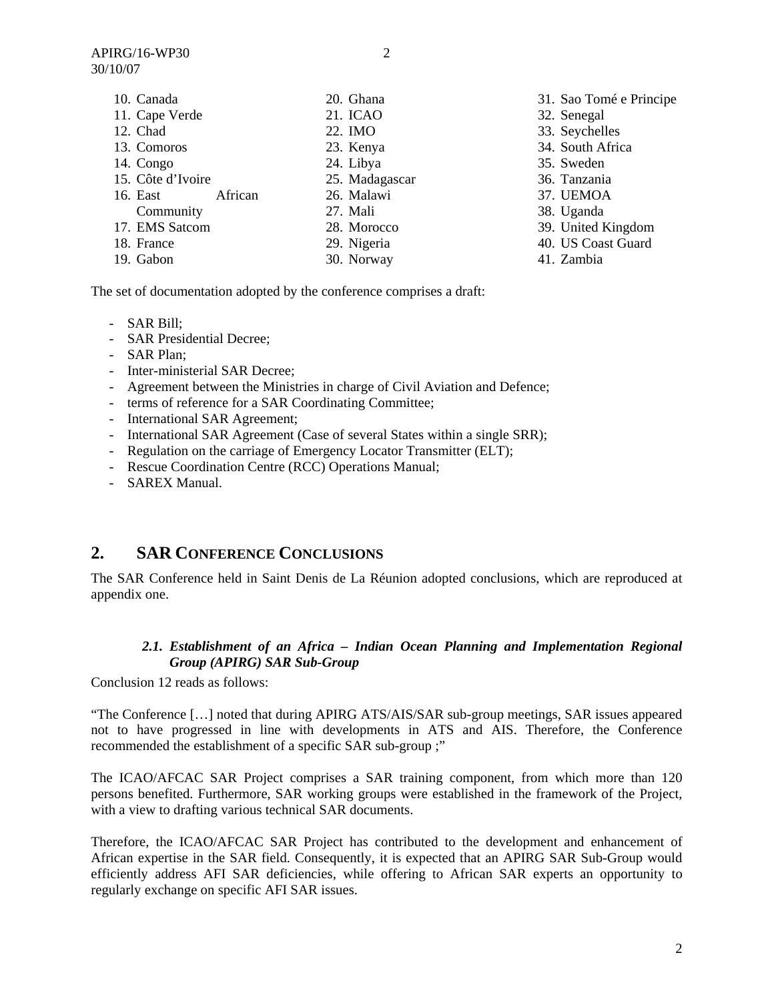| 10. Canada          | 20. Ghana      | 31. Sao Tomé e Principe |
|---------------------|----------------|-------------------------|
| 11. Cape Verde      | 21. ICAO       | 32. Senegal             |
| 12. Chad            | 22. IMO        | 33. Seychelles          |
| 13. Comoros         | 23. Kenya      | 34. South Africa        |
| 14. Congo           | 24. Libya      | 35. Sweden              |
| 15. Côte d'Ivoire   | 25. Madagascar | 36. Tanzania            |
| African<br>16. East | 26. Malawi     | 37. UEMOA               |
| Community           | 27. Mali       | 38. Uganda              |
| 17. EMS Satcom      | 28. Morocco    | 39. United Kingdom      |
| 18. France          | 29. Nigeria    | 40. US Coast Guard      |
| 19. Gabon           | 30. Norway     | 41. Zambia              |
|                     |                |                         |

The set of documentation adopted by the conference comprises a draft:

- SAR Bill;
- SAR Presidential Decree;
- SAR Plan;
- Inter-ministerial SAR Decree;
- Agreement between the Ministries in charge of Civil Aviation and Defence;
- terms of reference for a SAR Coordinating Committee;
- International SAR Agreement;
- International SAR Agreement (Case of several States within a single SRR);
- Regulation on the carriage of Emergency Locator Transmitter (ELT);
- Rescue Coordination Centre (RCC) Operations Manual;
- SAREX Manual.

## **2. SAR CONFERENCE CONCLUSIONS**

The SAR Conference held in Saint Denis de La Réunion adopted conclusions, which are reproduced at appendix one.

#### *2.1. Establishment of an Africa – Indian Ocean Planning and Implementation Regional Group (APIRG) SAR Sub-Group*

Conclusion 12 reads as follows:

"The Conference […] noted that during APIRG ATS/AIS/SAR sub-group meetings, SAR issues appeared not to have progressed in line with developments in ATS and AIS. Therefore, the Conference recommended the establishment of a specific SAR sub-group ;"

The ICAO/AFCAC SAR Project comprises a SAR training component, from which more than 120 persons benefited. Furthermore, SAR working groups were established in the framework of the Project, with a view to drafting various technical SAR documents.

Therefore, the ICAO/AFCAC SAR Project has contributed to the development and enhancement of African expertise in the SAR field. Consequently, it is expected that an APIRG SAR Sub-Group would efficiently address AFI SAR deficiencies, while offering to African SAR experts an opportunity to regularly exchange on specific AFI SAR issues.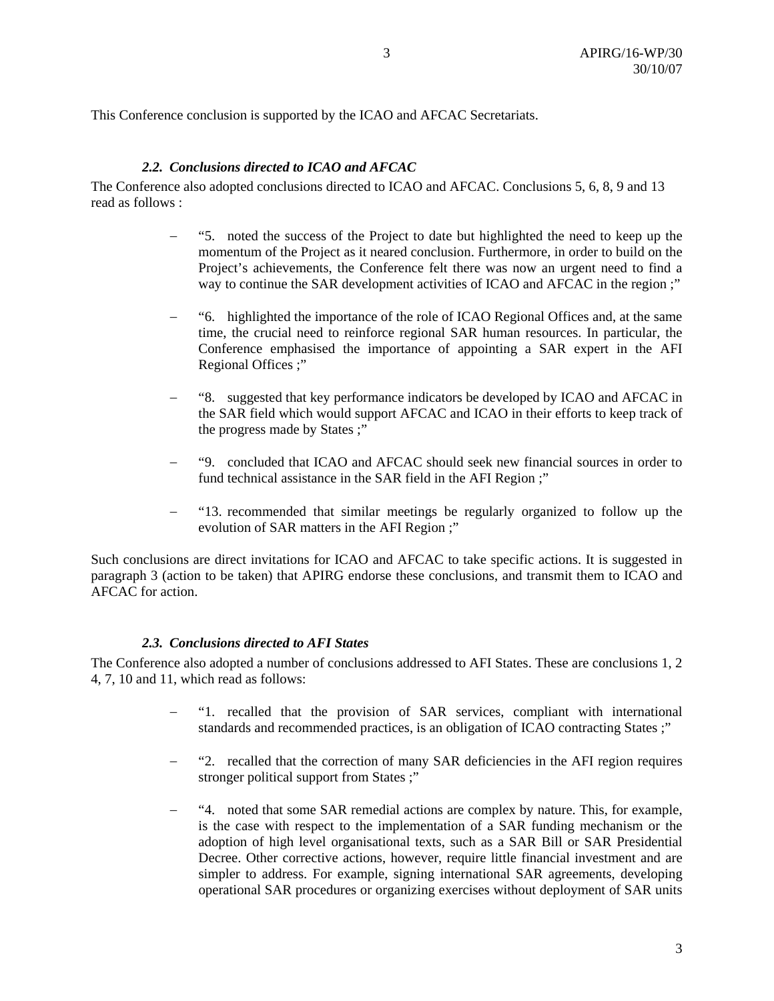This Conference conclusion is supported by the ICAO and AFCAC Secretariats.

#### *2.2. Conclusions directed to ICAO and AFCAC*

The Conference also adopted conclusions directed to ICAO and AFCAC. Conclusions 5, 6, 8, 9 and 13 read as follows :

- − "5. noted the success of the Project to date but highlighted the need to keep up the momentum of the Project as it neared conclusion. Furthermore, in order to build on the Project's achievements, the Conference felt there was now an urgent need to find a way to continue the SAR development activities of ICAO and AFCAC in the region ;"
- − "6. highlighted the importance of the role of ICAO Regional Offices and, at the same time, the crucial need to reinforce regional SAR human resources. In particular, the Conference emphasised the importance of appointing a SAR expert in the AFI Regional Offices ;"
- − "8. suggested that key performance indicators be developed by ICAO and AFCAC in the SAR field which would support AFCAC and ICAO in their efforts to keep track of the progress made by States ;"
- − "9. concluded that ICAO and AFCAC should seek new financial sources in order to fund technical assistance in the SAR field in the AFI Region ;"
- − "13. recommended that similar meetings be regularly organized to follow up the evolution of SAR matters in the AFI Region ;"

Such conclusions are direct invitations for ICAO and AFCAC to take specific actions. It is suggested in paragraph 3 (action to be taken) that APIRG endorse these conclusions, and transmit them to ICAO and AFCAC for action.

#### *2.3. Conclusions directed to AFI States*

The Conference also adopted a number of conclusions addressed to AFI States. These are conclusions 1, 2 4, 7, 10 and 11, which read as follows:

- − "1. recalled that the provision of SAR services, compliant with international standards and recommended practices, is an obligation of ICAO contracting States ;"
- − "2. recalled that the correction of many SAR deficiencies in the AFI region requires stronger political support from States ;"
- − "4. noted that some SAR remedial actions are complex by nature. This, for example, is the case with respect to the implementation of a SAR funding mechanism or the adoption of high level organisational texts, such as a SAR Bill or SAR Presidential Decree. Other corrective actions, however, require little financial investment and are simpler to address. For example, signing international SAR agreements, developing operational SAR procedures or organizing exercises without deployment of SAR units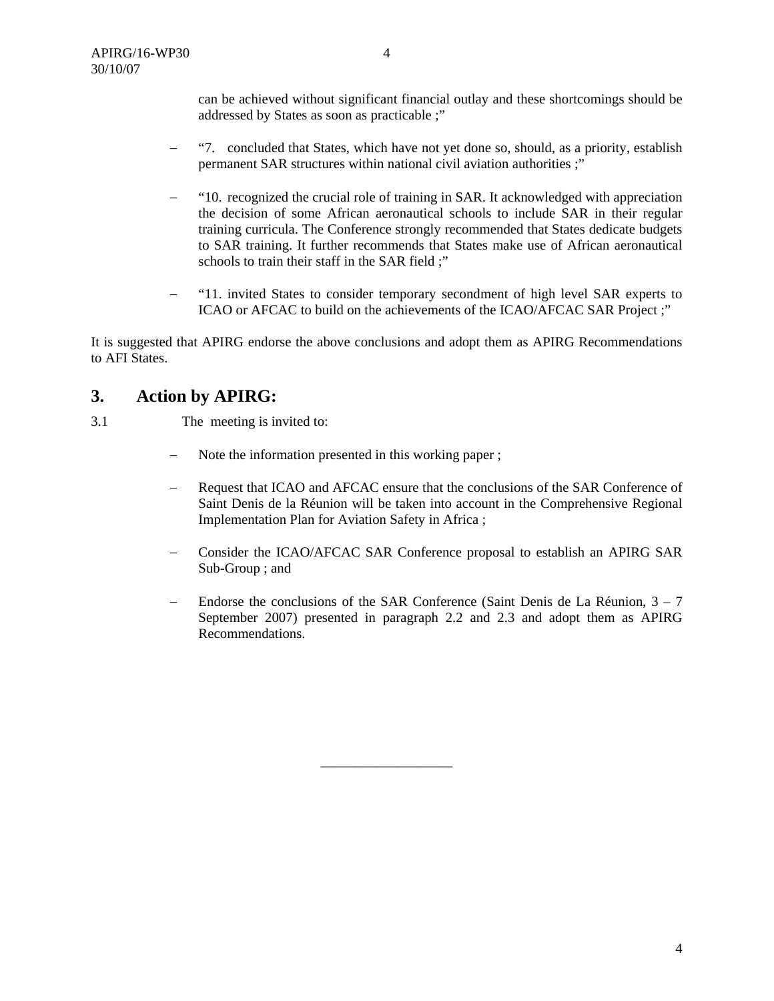can be achieved without significant financial outlay and these shortcomings should be addressed by States as soon as practicable ;"

- − "7. concluded that States, which have not yet done so, should, as a priority, establish permanent SAR structures within national civil aviation authorities ;"
- − "10. recognized the crucial role of training in SAR. It acknowledged with appreciation the decision of some African aeronautical schools to include SAR in their regular training curricula. The Conference strongly recommended that States dedicate budgets to SAR training. It further recommends that States make use of African aeronautical schools to train their staff in the SAR field ;"
- − "11. invited States to consider temporary secondment of high level SAR experts to ICAO or AFCAC to build on the achievements of the ICAO/AFCAC SAR Project ;"

It is suggested that APIRG endorse the above conclusions and adopt them as APIRG Recommendations to AFI States.

## **3. Action by APIRG:**

- 3.1 The meeting is invited to:
	- − Note the information presented in this working paper ;
	- − Request that ICAO and AFCAC ensure that the conclusions of the SAR Conference of Saint Denis de la Réunion will be taken into account in the Comprehensive Regional Implementation Plan for Aviation Safety in Africa ;
	- − Consider the ICAO/AFCAC SAR Conference proposal to establish an APIRG SAR Sub-Group ; and
	- − Endorse the conclusions of the SAR Conference (Saint Denis de La Réunion, 3 7 September 2007) presented in paragraph 2.2 and 2.3 and adopt them as APIRG Recommendations.

\_\_\_\_\_\_\_\_\_\_\_\_\_\_\_\_\_\_\_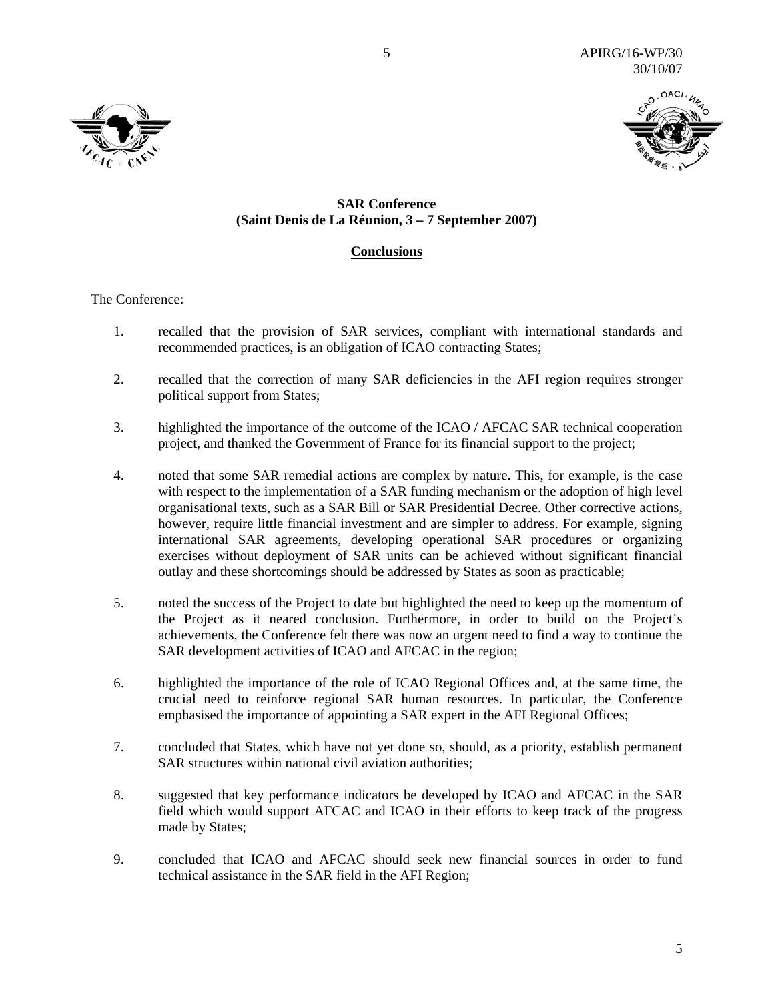

### **SAR Conference (Saint Denis de La Réunion, 3 – 7 September 2007)**

5

### **Conclusions**

The Conference:

- 1. recalled that the provision of SAR services, compliant with international standards and recommended practices, is an obligation of ICAO contracting States;
- 2. recalled that the correction of many SAR deficiencies in the AFI region requires stronger political support from States;
- 3. highlighted the importance of the outcome of the ICAO / AFCAC SAR technical cooperation project, and thanked the Government of France for its financial support to the project;
- 4. noted that some SAR remedial actions are complex by nature. This, for example, is the case with respect to the implementation of a SAR funding mechanism or the adoption of high level organisational texts, such as a SAR Bill or SAR Presidential Decree. Other corrective actions, however, require little financial investment and are simpler to address. For example, signing international SAR agreements, developing operational SAR procedures or organizing exercises without deployment of SAR units can be achieved without significant financial outlay and these shortcomings should be addressed by States as soon as practicable;
- 5. noted the success of the Project to date but highlighted the need to keep up the momentum of the Project as it neared conclusion. Furthermore, in order to build on the Project's achievements, the Conference felt there was now an urgent need to find a way to continue the SAR development activities of ICAO and AFCAC in the region;
- 6. highlighted the importance of the role of ICAO Regional Offices and, at the same time, the crucial need to reinforce regional SAR human resources. In particular, the Conference emphasised the importance of appointing a SAR expert in the AFI Regional Offices;
- 7. concluded that States, which have not yet done so, should, as a priority, establish permanent SAR structures within national civil aviation authorities;
- 8. suggested that key performance indicators be developed by ICAO and AFCAC in the SAR field which would support AFCAC and ICAO in their efforts to keep track of the progress made by States;
- 9. concluded that ICAO and AFCAC should seek new financial sources in order to fund technical assistance in the SAR field in the AFI Region;